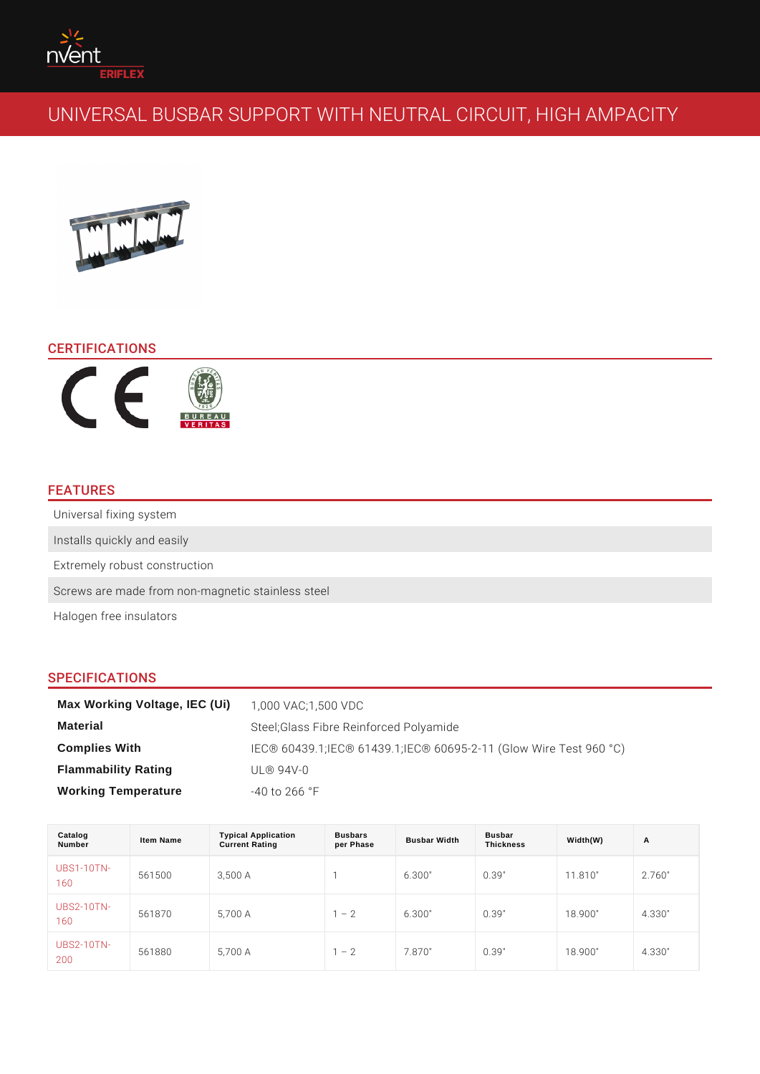# CERTIFICATIONS

## FEATURES

Universal fixing system Installs quickly and easily Extremely robust construction Screws are made from non-magnetic stainless steel Halogen free insulators

## SPECIFICATIONS

| Max Working Voltage, IEC (Ui) | 1,000 VAC:1,500 VDC                                  |
|-------------------------------|------------------------------------------------------|
| Material                      | Steel; Glass Fibre Reinforced Polyamide              |
| Complies With                 | IEC® 60439.1;IEC® 61439.1;IEC® 60695-2-11 (Glow Wire |
| Flammability Rating           | $UL@94V-0$                                           |
| Working Temperature           | $-40$ to 266 $\degree$ F                             |

| Catalog<br>Number   | Item Name | <b>Typical Application</b><br><b>Current Rating</b> | <b>Busbars</b><br>per Phase | <b>Busbar Width</b> | Busbar<br><b>Thickness</b> | Width(W) | A      |
|---------------------|-----------|-----------------------------------------------------|-----------------------------|---------------------|----------------------------|----------|--------|
| $UBS1-10TN-$<br>160 | 561500    | 3,500 A                                             |                             | 6.300"              | 0.39"                      | 11.810"  | 2.760" |
| $UBS2-10TN-$<br>160 | 561870    | 5,700 A                                             | 2                           | 6.300"              | 0.39"                      | 18.900"  | 4.330" |
| $UBS2-10TN-$<br>200 | 561880    | 5,700 A                                             | 2                           | 7.870"              | 0.39"                      | 18.900"  | 4.330" |